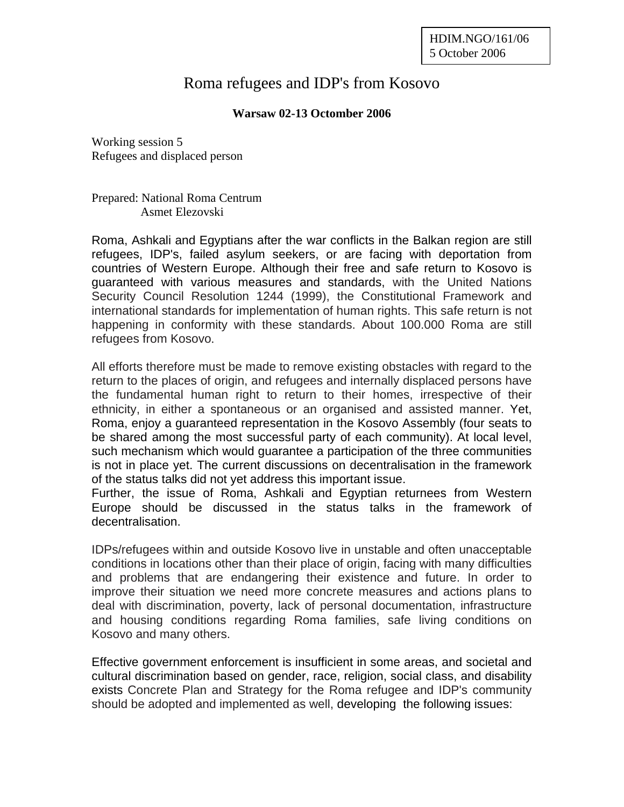## Roma refugees and IDP's from Kosovo

## **Warsaw 02-13 Octomber 2006**

Working session 5 Refugees and displaced person

Prepared: National Roma Centrum Asmet Elezovski

Roma, Ashkali and Egyptians after the war conflicts in the Balkan region are still refugees, IDP's, failed asylum seekers, or are facing with deportation from countries of Western Europe. Although their free and safe return to Kosovo is guaranteed with various measures and standards, with the United Nations Security Council Resolution 1244 (1999), the Constitutional Framework and international standards for implementation of human rights. This safe return is not happening in conformity with these standards. About 100.000 Roma are still refugees from Kosovo.

All efforts therefore must be made to remove existing obstacles with regard to the return to the places of origin, and refugees and internally displaced persons have the fundamental human right to return to their homes, irrespective of their ethnicity, in either a spontaneous or an organised and assisted manner. Yet, Roma, enjoy a guaranteed representation in the Kosovo Assembly (four seats to be shared among the most successful party of each community). At local level, such mechanism which would guarantee a participation of the three communities is not in place yet. The current discussions on decentralisation in the framework of the status talks did not yet address this important issue.

Further, the issue of Roma, Ashkali and Egyptian returnees from Western Europe should be discussed in the status talks in the framework of decentralisation.

IDPs/refugees within and outside Kosovo live in unstable and often unacceptable conditions in locations other than their place of origin, facing with many difficulties and problems that are endangering their existence and future. In order to improve their situation we need more concrete measures and actions plans to deal with discrimination, poverty, lack of personal documentation, infrastructure and housing conditions regarding Roma families, safe living conditions on Kosovo and many others.

Effective government enforcement is insufficient in some areas, and societal and cultural discrimination based on gender, race, religion, social class, and disability exists Concrete Plan and Strategy for the Roma refugee and IDP's community should be adopted and implemented as well, developing the following issues: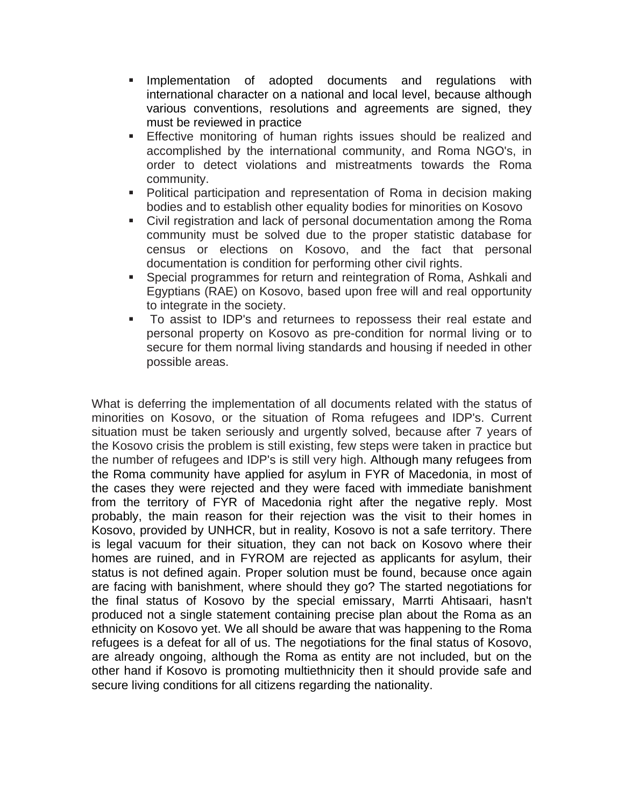- **Implementation of adopted documents and regulations with** international character on a national and local level, because although various conventions, resolutions and agreements are signed, they must be reviewed in practice
- Effective monitoring of human rights issues should be realized and accomplished by the international community, and Roma NGO's, in order to detect violations and mistreatments towards the Roma community.
- Political participation and representation of Roma in decision making bodies and to establish other equality bodies for minorities on Kosovo
- Civil registration and lack of personal documentation among the Roma community must be solved due to the proper statistic database for census or elections on Kosovo, and the fact that personal documentation is condition for performing other civil rights.
- **Special programmes for return and reintegration of Roma, Ashkali and** Egyptians (RAE) on Kosovo, based upon free will and real opportunity to integrate in the society.
- To assist to IDP's and returnees to repossess their real estate and personal property on Kosovo as pre-condition for normal living or to secure for them normal living standards and housing if needed in other possible areas.

What is deferring the implementation of all documents related with the status of minorities on Kosovo, or the situation of Roma refugees and IDP's. Current situation must be taken seriously and urgently solved, because after 7 years of the Kosovo crisis the problem is still existing, few steps were taken in practice but the number of refugees and IDP's is still very high. Although many refugees from the Roma community have applied for asylum in FYR of Macedonia, in most of the cases they were rejected and they were faced with immediate banishment from the territory of FYR of Macedonia right after the negative reply. Most probably, the main reason for their rejection was the visit to their homes in Kosovo, provided by UNHCR, but in reality, Kosovo is not a safe territory. There is legal vacuum for their situation, they can not back on Kosovo where their homes are ruined, and in FYROM are rejected as applicants for asylum, their status is not defined again. Proper solution must be found, because once again are facing with banishment, where should they go? The started negotiations for the final status of Kosovo by the special emissary, Marrti Ahtisaari, hasn't produced not a single statement containing precise plan about the Roma as an ethnicity on Kosovo yet. We all should be aware that was happening to the Roma refugees is a defeat for all of us. The negotiations for the final status of Kosovo, are already ongoing, although the Roma as entity are not included, but on the other hand if Kosovo is promoting multiethnicity then it should provide safe and secure living conditions for all citizens regarding the nationality.